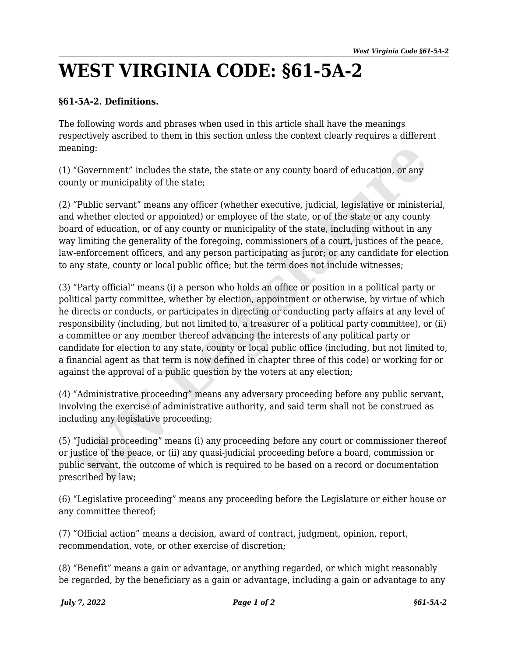## **WEST VIRGINIA CODE: §61-5A-2**

## **§61-5A-2. Definitions.**

The following words and phrases when used in this article shall have the meanings respectively ascribed to them in this section unless the context clearly requires a different meaning:

(1) "Government" includes the state, the state or any county board of education, or any county or municipality of the state;

(2) "Public servant" means any officer (whether executive, judicial, legislative or ministerial, and whether elected or appointed) or employee of the state, or of the state or any county board of education, or of any county or municipality of the state, including without in any way limiting the generality of the foregoing, commissioners of a court, justices of the peace, law-enforcement officers, and any person participating as juror; or any candidate for election to any state, county or local public office; but the term does not include witnesses;

(3) "Party official" means (i) a person who holds an office or position in a political party or political party committee, whether by election, appointment or otherwise, by virtue of which he directs or conducts, or participates in directing or conducting party affairs at any level of responsibility (including, but not limited to, a treasurer of a political party committee), or (ii) a committee or any member thereof advancing the interests of any political party or candidate for election to any state, county or local public office (including, but not limited to, a financial agent as that term is now defined in chapter three of this code) or working for or against the approval of a public question by the voters at any election; ming:<br>
"Government" includes the state, the state or any county board of education, or any<br>
nty or municipality of the state;<br>
"Public servant" means any officer (whether executive, judicial, legislative or ministe<br>
whethe

(4) "Administrative proceeding" means any adversary proceeding before any public servant, involving the exercise of administrative authority, and said term shall not be construed as including any legislative proceeding;

(5) "Judicial proceeding" means (i) any proceeding before any court or commissioner thereof or justice of the peace, or (ii) any quasi-judicial proceeding before a board, commission or public servant, the outcome of which is required to be based on a record or documentation prescribed by law;

(6) "Legislative proceeding" means any proceeding before the Legislature or either house or any committee thereof;

(7) "Official action" means a decision, award of contract, judgment, opinion, report, recommendation, vote, or other exercise of discretion;

(8) "Benefit" means a gain or advantage, or anything regarded, or which might reasonably be regarded, by the beneficiary as a gain or advantage, including a gain or advantage to any